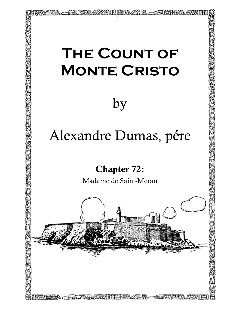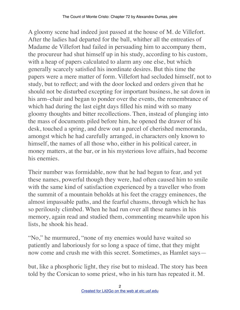A gloomy scene had indeed just passed at the house of M. de Villefort. After the ladies had departed for the ball, whither all the entreaties of Madame de Villefort had failed in persuading him to accompany them, the procureur had shut himself up in his study, according to his custom, with a heap of papers calculated to alarm any one else, but which generally scarcely satisfied his inordinate desires. But this time the papers were a mere matter of form. Villefort had secluded himself, not to study, but to reflect; and with the door locked and orders given that he should not be disturbed excepting for important business, he sat down in his arm–chair and began to ponder over the events, the remembrance of which had during the last eight days filled his mind with so many gloomy thoughts and bitter recollections. Then, instead of plunging into the mass of documents piled before him, he opened the drawer of his desk, touched a spring, and drew out a parcel of cherished memoranda, amongst which he had carefully arranged, in characters only known to himself, the names of all those who, either in his political career, in money matters, at the bar, or in his mysterious love affairs, had become his enemies.

Their number was formidable, now that he had begun to fear, and yet these names, powerful though they were, had often caused him to smile with the same kind of satisfaction experienced by a traveller who from the summit of a mountain beholds at his feet the craggy eminences, the almost impassable paths, and the fearful chasms, through which he has so perilously climbed. When he had run over all these names in his memory, again read and studied them, commenting meanwhile upon his lists, he shook his head.

"No," he murmured, "none of my enemies would have waited so patiently and laboriously for so long a space of time, that they might now come and crush me with this secret. Sometimes, as Hamlet says—

but, like a phosphoric light, they rise but to mislead. The story has been told by the Corsican to some priest, who in his turn has repeated it. M.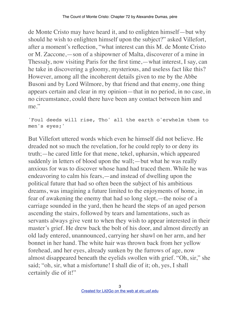de Monte Cristo may have heard it, and to enlighten himself—but why should he wish to enlighten himself upon the subject?" asked Villefort, after a moment's reflection, "what interest can this M. de Monte Cristo or M. Zaccone,—son of a shipowner of Malta, discoverer of a mine in Thessaly, now visiting Paris for the first time,—what interest, I say, can he take in discovering a gloomy, mysterious, and useless fact like this? However, among all the incoherent details given to me by the Abbe Busoni and by Lord Wilmore, by that friend and that enemy, one thing appears certain and clear in my opinion—that in no period, in no case, in no circumstance, could there have been any contact between him and me."

'Foul deeds will rise, Tho' all the earth o'erwhelm them to men's eyes;'

But Villefort uttered words which even he himself did not believe. He dreaded not so much the revelation, for he could reply to or deny its truth;—he cared little for that mene, tekel, upharsin, which appeared suddenly in letters of blood upon the wall;—but what he was really anxious for was to discover whose hand had traced them. While he was endeavoring to calm his fears,—and instead of dwelling upon the political future that had so often been the subject of his ambitious dreams, was imagining a future limited to the enjoyments of home, in fear of awakening the enemy that had so long slept,—the noise of a carriage sounded in the yard, then he heard the steps of an aged person ascending the stairs, followed by tears and lamentations, such as servants always give vent to when they wish to appear interested in their master's grief. He drew back the bolt of his door, and almost directly an old lady entered, unannounced, carrying her shawl on her arm, and her bonnet in her hand. The white hair was thrown back from her yellow forehead, and her eyes, already sunken by the furrows of age, now almost disappeared beneath the eyelids swollen with grief. "Oh, sir," she said; "oh, sir, what a misfortune! I shall die of it; oh, yes, I shall certainly die of it!"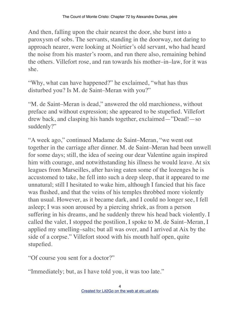And then, falling upon the chair nearest the door, she burst into a paroxysm of sobs. The servants, standing in the doorway, not daring to approach nearer, were looking at Noirtier's old servant, who had heard the noise from his master's room, and run there also, remaining behind the others. Villefort rose, and ran towards his mother–in–law, for it was she.

"Why, what can have happened?" he exclaimed, "what has thus disturbed you? Is M. de Saint–Meran with you?"

"M. de Saint–Meran is dead," answered the old marchioness, without preface and without expression; she appeared to be stupefied. Villefort drew back, and clasping his hands together, exclaimed—"Dead!—so suddenly?"

"A week ago," continued Madame de Saint–Meran, "we went out together in the carriage after dinner. M. de Saint–Meran had been unwell for some days; still, the idea of seeing our dear Valentine again inspired him with courage, and notwithstanding his illness he would leave. At six leagues from Marseilles, after having eaten some of the lozenges he is accustomed to take, he fell into such a deep sleep, that it appeared to me unnatural; still I hesitated to wake him, although I fancied that his face was flushed, and that the veins of his temples throbbed more violently than usual. However, as it became dark, and I could no longer see, I fell asleep; I was soon aroused by a piercing shriek, as from a person suffering in his dreams, and he suddenly threw his head back violently. I called the valet, I stopped the postilion, I spoke to M. de Saint–Meran, I applied my smelling–salts; but all was over, and I arrived at Aix by the side of a corpse." Villefort stood with his mouth half open, quite stupefied.

"Of course you sent for a doctor?"

"Immediately; but, as I have told you, it was too late."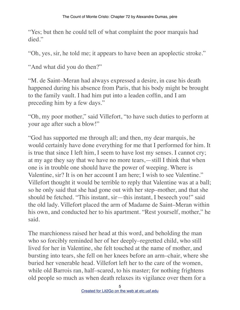"Yes; but then he could tell of what complaint the poor marquis had died."

"Oh, yes, sir, he told me; it appears to have been an apoplectic stroke."

"And what did you do then?"

"M. de Saint–Meran had always expressed a desire, in case his death happened during his absence from Paris, that his body might be brought to the family vault. I had him put into a leaden coffin, and I am preceding him by a few days."

"Oh, my poor mother," said Villefort, "to have such duties to perform at your age after such a blow!"

"God has supported me through all; and then, my dear marquis, he would certainly have done everything for me that I performed for him. It is true that since I left him, I seem to have lost my senses. I cannot cry; at my age they say that we have no more tears,—still I think that when one is in trouble one should have the power of weeping. Where is Valentine, sir? It is on her account I am here; I wish to see Valentine." Villefort thought it would be terrible to reply that Valentine was at a ball; so he only said that she had gone out with her step–mother, and that she should be fetched. "This instant, sir—this instant, I beseech you!" said the old lady. Villefort placed the arm of Madame de Saint–Meran within his own, and conducted her to his apartment. "Rest yourself, mother," he said.

The marchioness raised her head at this word, and beholding the man who so forcibly reminded her of her deeply–regretted child, who still lived for her in Valentine, she felt touched at the name of mother, and bursting into tears, she fell on her knees before an arm–chair, where she buried her venerable head. Villefort left her to the care of the women, while old Barrois ran, half–scared, to his master; for nothing frightens old people so much as when death relaxes its vigilance over them for a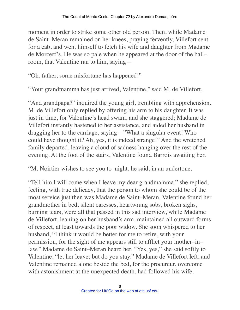moment in order to strike some other old person. Then, while Madame de Saint–Meran remained on her knees, praying fervently, Villefort sent for a cab, and went himself to fetch his wife and daughter from Madame de Morcerf's. He was so pale when he appeared at the door of the ball– room, that Valentine ran to him, saying—

"Oh, father, some misfortune has happened!"

"Your grandmamma has just arrived, Valentine," said M. de Villefort.

"And grandpapa?" inquired the young girl, trembling with apprehension. M. de Villefort only replied by offering his arm to his daughter. It was just in time, for Valentine's head swam, and she staggered; Madame de Villefort instantly hastened to her assistance, and aided her husband in dragging her to the carriage, saying—"What a singular event! Who could have thought it? Ah, yes, it is indeed strange!" And the wretched family departed, leaving a cloud of sadness hanging over the rest of the evening. At the foot of the stairs, Valentine found Barrois awaiting her.

"M. Noirtier wishes to see you to–night, he said, in an undertone.

"Tell him I will come when I leave my dear grandmamma," she replied, feeling, with true delicacy, that the person to whom she could be of the most service just then was Madame de Saint–Meran. Valentine found her grandmother in bed; silent caresses, heartwrung sobs, broken sighs, burning tears, were all that passed in this sad interview, while Madame de Villefort, leaning on her husband's arm, maintained all outward forms of respect, at least towards the poor widow. She soon whispered to her husband, "I think it would be better for me to retire, with your permission, for the sight of me appears still to afflict your mother–in– law." Madame de Saint–Meran heard her. "Yes, yes," she said softly to Valentine, "let her leave; but do you stay." Madame de Villefort left, and Valentine remained alone beside the bed, for the procureur, overcome with astonishment at the unexpected death, had followed his wife.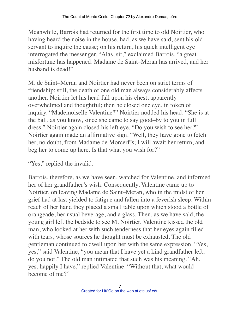Meanwhile, Barrois had returned for the first time to old Noirtier, who having heard the noise in the house, had, as we have said, sent his old servant to inquire the cause; on his return, his quick intelligent eye interrogated the messenger. "Alas, sir," exclaimed Barrois, "a great misfortune has happened. Madame de Saint–Meran has arrived, and her husband is dead!"

M. de Saint–Meran and Noirtier had never been on strict terms of friendship; still, the death of one old man always considerably affects another. Noirtier let his head fall upon his chest, apparently overwhelmed and thoughtful; then he closed one eye, in token of inquiry. "Mademoiselle Valentine?" Noirtier nodded his head. "She is at the ball, as you know, since she came to say good–by to you in full dress." Noirtier again closed his left eye. "Do you wish to see her?" Noirtier again made an affirmative sign. "Well, they have gone to fetch her, no doubt, from Madame de Morcerf's; I will await her return, and beg her to come up here. Is that what you wish for?"

"Yes," replied the invalid.

Barrois, therefore, as we have seen, watched for Valentine, and informed her of her grandfather's wish. Consequently, Valentine came up to Noirtier, on leaving Madame de Saint–Meran, who in the midst of her grief had at last yielded to fatigue and fallen into a feverish sleep. Within reach of her hand they placed a small table upon which stood a bottle of orangeade, her usual beverage, and a glass. Then, as we have said, the young girl left the bedside to see M. Noirtier. Valentine kissed the old man, who looked at her with such tenderness that her eyes again filled with tears, whose sources he thought must be exhausted. The old gentleman continued to dwell upon her with the same expression. "Yes, yes," said Valentine, "you mean that I have yet a kind grandfather left, do you not." The old man intimated that such was his meaning. "Ah, yes, happily I have," replied Valentine. "Without that, what would become of me?"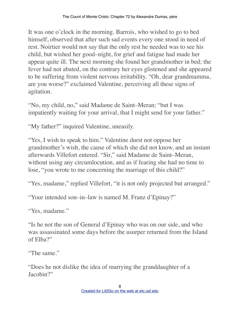It was one o'clock in the morning. Barrois, who wished to go to bed himself, observed that after such sad events every one stood in need of rest. Noirtier would not say that the only rest he needed was to see his child, but wished her good–night, for grief and fatigue had made her appear quite ill. The next morning she found her grandmother in bed; the fever had not abated, on the contrary her eyes glistened and she appeared to be suffering from violent nervous irritability. "Oh, dear grandmamma, are you worse?" exclaimed Valentine, perceiving all these signs of agitation.

"No, my child, no," said Madame de Saint–Meran; "but I was impatiently waiting for your arrival, that I might send for your father."

"My father?" inquired Valentine, uneasily.

"Yes, I wish to speak to him." Valentine durst not oppose her grandmother's wish, the cause of which she did not know, and an instant afterwards Villefort entered. "Sir," said Madame de Saint–Meran, without using any circumlocution, and as if fearing she had no time to lose, "you wrote to me concerning the marriage of this child?"

"Yes, madame," replied Villefort, "it is not only projected but arranged."

"Your intended son–in–law is named M. Franz d'Epinay?"

"Yes, madame."

"Is he not the son of General d'Epinay who was on our side, and who was assassinated some days before the usurper returned from the Island of Elba?"

"The same."

"Does he not dislike the idea of marrying the granddaughter of a Jacobin?"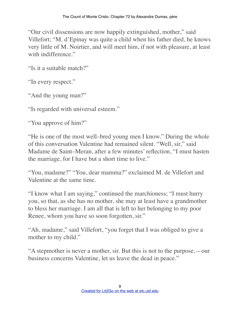"Our civil dissensions are now happily extinguished, mother," said Villefort; "M. d'Epinay was quite a child when his father died, he knows very little of M. Noirtier, and will meet him, if not with pleasure, at least with indifference."

"Is it a suitable match?"

"In every respect."

"And the young man?"

"Is regarded with universal esteem."

"You approve of him?"

"He is one of the most well–bred young men I know." During the whole of this conversation Valentine had remained silent. "Well, sir," said Madame de Saint–Meran, after a few minutes' reflection, "I must hasten the marriage, for I have but a short time to live."

"You, madame?" "You, dear mamma?" exclaimed M. de Villefort and Valentine at the same time.

"I know what I am saying," continued the marchioness; "I must hurry you, so that, as she has no mother, she may at least have a grandmother to bless her marriage. I am all that is left to her belonging to my poor Renee, whom you have so soon forgotten, sir."

"Ah, madame," said Villefort, "you forget that I was obliged to give a mother to my child."

"A stepmother is never a mother, sir. But this is not to the purpose,—our business concerns Valentine, let us leave the dead in peace."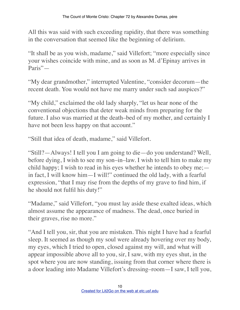All this was said with such exceeding rapidity, that there was something in the conversation that seemed like the beginning of delirium.

"It shall be as you wish, madame," said Villefort; "more especially since your wishes coincide with mine, and as soon as M. d'Epinay arrives in Paris"—

"My dear grandmother," interrupted Valentine, "consider decorum—the recent death. You would not have me marry under such sad auspices?"

"My child," exclaimed the old lady sharply, "let us hear none of the conventional objections that deter weak minds from preparing for the future. I also was married at the death–bed of my mother, and certainly I have not been less happy on that account."

"Still that idea of death, madame," said Villefort.

"Still?—Always! I tell you I am going to die—do you understand? Well, before dying, I wish to see my son–in–law. I wish to tell him to make my child happy; I wish to read in his eyes whether he intends to obey me; in fact, I will know him—I will!" continued the old lady, with a fearful expression, "that I may rise from the depths of my grave to find him, if he should not fulfil his duty!"

"Madame," said Villefort, "you must lay aside these exalted ideas, which almost assume the appearance of madness. The dead, once buried in their graves, rise no more."

"And I tell you, sir, that you are mistaken. This night I have had a fearful sleep. It seemed as though my soul were already hovering over my body, my eyes, which I tried to open, closed against my will, and what will appear impossible above all to you, sir, I saw, with my eyes shut, in the spot where you are now standing, issuing from that corner where there is a door leading into Madame Villefort's dressing–room—I saw, I tell you,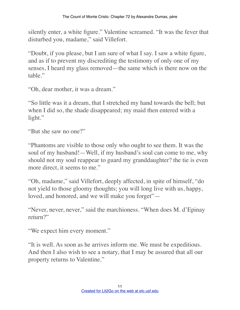silently enter, a white figure." Valentine screamed. "It was the fever that disturbed you, madame," said Villefort.

"Doubt, if you please, but I am sure of what I say. I saw a white figure, and as if to prevent my discrediting the testimony of only one of my senses, I heard my glass removed—the same which is there now on the table."

"Oh, dear mother, it was a dream."

"So little was it a dream, that I stretched my hand towards the bell; but when I did so, the shade disappeared; my maid then entered with a light."

"But she saw no one?"

"Phantoms are visible to those only who ought to see them. It was the soul of my husband!—Well, if my husband's soul can come to me, why should not my soul reappear to guard my granddaughter? the tie is even more direct, it seems to me."

"Oh, madame," said Villefort, deeply affected, in spite of himself, "do not yield to those gloomy thoughts; you will long live with us, happy, loved, and honored, and we will make you forget"—

"Never, never, never," said the marchioness. "When does M. d'Epinay return?"

"We expect him every moment."

"It is well. As soon as he arrives inform me. We must be expeditious. And then I also wish to see a notary, that I may be assured that all our property returns to Valentine."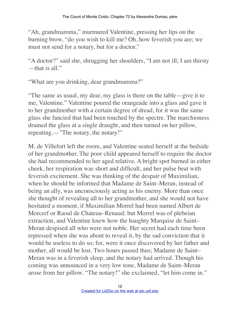"Ah, grandmamma," murmured Valentine, pressing her lips on the burning brow, "do you wish to kill me? Oh, how feverish you are; we must not send for a notary, but for a doctor."

"A doctor?" said she, shrugging her shoulders, "I am not ill; I am thirsty  $-$ that is all."

"What are you drinking, dear grandmamma?"

"The same as usual, my dear, my glass is there on the table—give it to me, Valentine." Valentine poured the orangeade into a glass and gave it to her grandmother with a certain degree of dread, for it was the same glass she fancied that had been touched by the spectre. The marchioness drained the glass at a single draught, and then turned on her pillow, repeating,—"The notary, the notary!"

M. de Villefort left the room, and Valentine seated herself at the bedside of her grandmother. The poor child appeared herself to require the doctor she had recommended to her aged relative. A bright spot burned in either cheek, her respiration was short and difficult, and her pulse beat with feverish excitement. She was thinking of the despair of Maximilian, when he should be informed that Madame de Saint–Meran, instead of being an ally, was unconsciously acting as his enemy. More than once she thought of revealing all to her grandmother, and she would not have hesitated a moment, if Maximilian Morrel had been named Albert de Morcerf or Raoul de Chateau–Renaud; but Morrel was of plebeian extraction, and Valentine knew how the haughty Marquise de Saint– Meran despised all who were not noble. Her secret had each time been repressed when she was about to reveal it, by the sad conviction that it would be useless to do so; for, were it once discovered by her father and mother, all would be lost. Two hours passed thus; Madame de Saint– Meran was in a feverish sleep, and the notary had arrived. Though his coming was announced in a very low tone, Madame de Saint–Meran arose from her pillow. "The notary!" she exclaimed, "let him come in."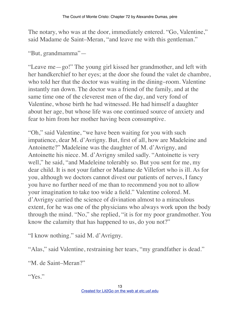The notary, who was at the door, immediately entered. "Go, Valentine," said Madame de Saint–Meran, "and leave me with this gentleman."

"But, grandmamma"—

"Leave me—go!" The young girl kissed her grandmother, and left with her handkerchief to her eyes; at the door she found the valet de chambre, who told her that the doctor was waiting in the dining–room. Valentine instantly ran down. The doctor was a friend of the family, and at the same time one of the cleverest men of the day, and very fond of Valentine, whose birth he had witnessed. He had himself a daughter about her age, but whose life was one continued source of anxiety and fear to him from her mother having been consumptive.

"Oh," said Valentine, "we have been waiting for you with such impatience, dear M. d'Avrigny. But, first of all, how are Madeleine and Antoinette?" Madeleine was the daughter of M. d'Avrigny, and Antoinette his niece. M. d'Avrigny smiled sadly. "Antoinette is very well," he said, "and Madeleine tolerably so. But you sent for me, my dear child. It is not your father or Madame de Villefort who is ill. As for you, although we doctors cannot divest our patients of nerves, I fancy you have no further need of me than to recommend you not to allow your imagination to take too wide a field." Valentine colored. M. d'Avrigny carried the science of divination almost to a miraculous extent, for he was one of the physicians who always work upon the body through the mind. "No," she replied, "it is for my poor grandmother. You know the calamity that has happened to us, do you not?"

"I know nothing." said M. d'Avrigny.

"Alas," said Valentine, restraining her tears, "my grandfather is dead."

"M. de Saint–Meran?"

"Yes."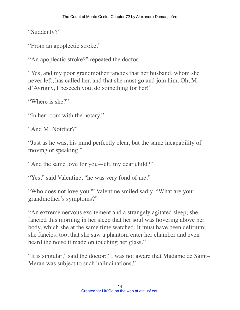"Suddenly?"

"From an apoplectic stroke."

"An apoplectic stroke?" repeated the doctor.

"Yes, and my poor grandmother fancies that her husband, whom she never left, has called her, and that she must go and join him. Oh, M. d'Avrigny, I beseech you, do something for her!"

"Where is she?"

"In her room with the notary."

```
"And M. Noirtier?"
```
"Just as he was, his mind perfectly clear, but the same incapability of moving or speaking."

"And the same love for you—eh, my dear child?"

"Yes," said Valentine, "he was very fond of me."

"Who does not love you?" Valentine smiled sadly. "What are your grandmother's symptoms?"

"An extreme nervous excitement and a strangely agitated sleep; she fancied this morning in her sleep that her soul was hovering above her body, which she at the same time watched. It must have been delirium; she fancies, too, that she saw a phantom enter her chamber and even heard the noise it made on touching her glass."

"It is singular," said the doctor; "I was not aware that Madame de Saint– Meran was subject to such hallucinations."